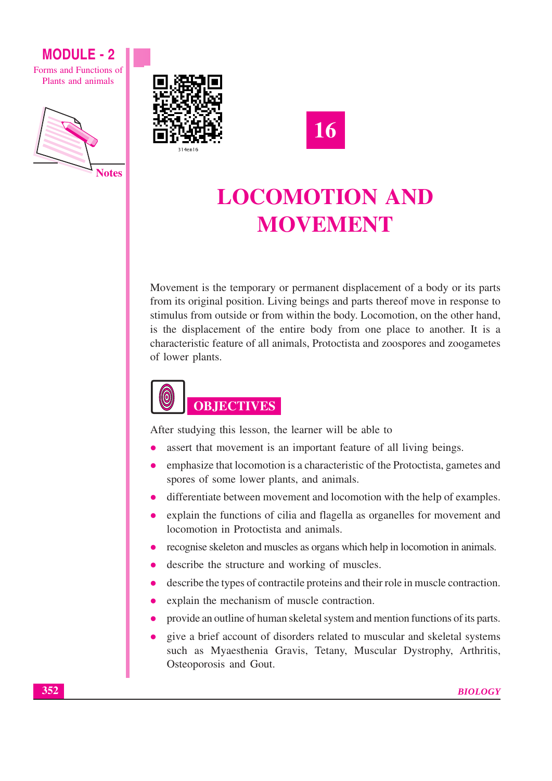Forms and Functions of Plants and animals







# **LOCOMOTION AND MOVEMENT**

Movement is the temporary or permanent displacement of a body or its parts from its original position. Living beings and parts thereof move in response to stimulus from outside or from within the body. Locomotion, on the other hand, is the displacement of the entire body from one place to another. It is a characteristic feature of all animals, Protoctista and zoospores and zoogametes of lower plants.



After studying this lesson, the learner will be able to

- assert that movement is an important feature of all living beings.
- emphasize that locomotion is a characteristic of the Protoctista, gametes and spores of some lower plants, and animals.
- differentiate between movement and locomotion with the help of examples.
- explain the functions of cilia and flagella as organelles for movement and locomotion in Protoctista and animals.
- recognise skeleton and muscles as organs which help in locomotion in animals.
- describe the structure and working of muscles.
- describe the types of contractile proteins and their role in muscle contraction.
- explain the mechanism of muscle contraction.
- provide an outline of human skeletal system and mention functions of its parts.
- give a brief account of disorders related to muscular and skeletal systems such as Myaesthenia Gravis, Tetany, Muscular Dystrophy, Arthritis, Osteoporosis and Gout.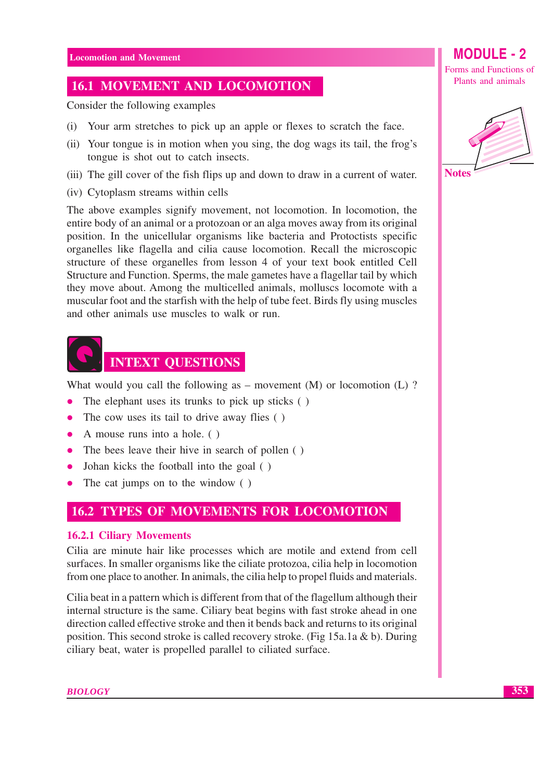## **16.1 MOVEMENT AND LOCOMOTION**

Consider the following examples

- (i) Your arm stretches to pick up an apple or flexes to scratch the face.
- (ii) Your tongue is in motion when you sing, the dog wags its tail, the frog's tongue is shot out to catch insects.
- (iii) The gill cover of the fish flips up and down to draw in a current of water.
- (iv) Cytoplasm streams within cells

The above examples signify movement, not locomotion. In locomotion, the entire body of an animal or a protozoan or an alga moves away from its original position. In the unicellular organisms like bacteria and Protoctists specific organelles like flagella and cilia cause locomotion. Recall the microscopic structure of these organelles from lesson 4 of your text book entitled Cell Structure and Function. Sperms, the male gametes have a flagellar tail by which they move about. Among the multicelled animals, molluscs locomote with a muscular foot and the starfish with the help of tube feet. Birds fly using muscles and other animals use muscles to walk or run.



What would you call the following as  $-$  movement (M) or locomotion (L) ?

- The elephant uses its trunks to pick up sticks ()
- The cow uses its tail to drive away flies ()
- A mouse runs into a hole.  $( )$
- The bees leave their hive in search of pollen ()  $\bullet$
- Johan kicks the football into the goal ()  $\bullet$
- The cat jumps on to the window ()

## **16.2 TYPES OF MOVEMENTS FOR LOCOMOTION**

## **16.2.1 Ciliary Movements**

Cilia are minute hair like processes which are motile and extend from cell surfaces. In smaller organisms like the ciliate protozoa, cilia help in locomotion from one place to another. In animals, the cilia help to propel fluids and materials.

Cilia beat in a pattern which is different from that of the flagellum although their internal structure is the same. Ciliary beat begins with fast stroke ahead in one direction called effective stroke and then it bends back and returns to its original position. This second stroke is called recovery stroke. (Fig 15a.1a & b). During ciliary beat, water is propelled parallel to ciliated surface.

Forms and Functions of Plants and animals

**MODULE - 2** 



353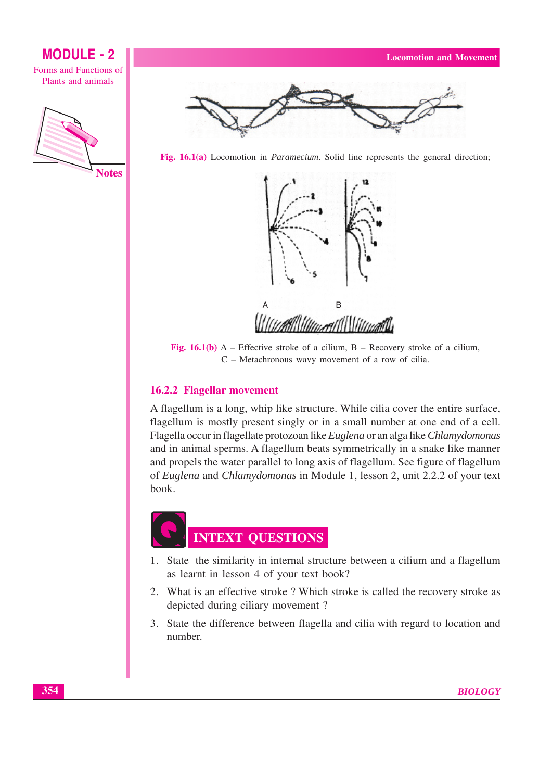









Fig. 16.1(b)  $A$  – Effective stroke of a cilium, B – Recovery stroke of a cilium, C - Metachronous wavy movement of a row of cilia.

## 16.2.2 Flagellar movement

A flagellum is a long, whip like structure. While cilia cover the entire surface, flagellum is mostly present singly or in a small number at one end of a cell. Flagella occur in flagellate protozoan like Euglena or an alga like Chlamydomonas and in animal sperms. A flagellum beats symmetrically in a snake like manner and propels the water parallel to long axis of flagellum. See figure of flagellum of Euglena and Chlamydomonas in Module 1, lesson 2, unit 2.2.2 of your text book.



- 1. State the similarity in internal structure between a cilium and a flagellum as learnt in lesson 4 of your text book?
- 2. What is an effective stroke? Which stroke is called the recovery stroke as depicted during ciliary movement?
- 3. State the difference between flagella and cilia with regard to location and number.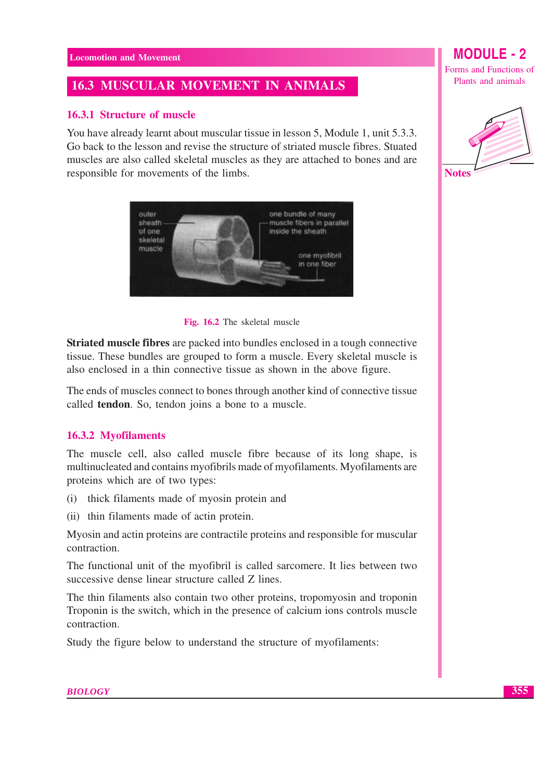## **16.3 MUSCULAR MOVEMENT IN ANIMALS**

## 16.3.1 Structure of muscle

You have already learnt about muscular tissue in lesson 5, Module 1, unit 5.3.3. Go back to the lesson and revise the structure of striated muscle fibres. Stuated muscles are also called skeletal muscles as they are attached to bones and are responsible for movements of the limbs.



Fig. 16.2 The skeletal muscle

**Striated muscle fibres** are packed into bundles enclosed in a tough connective tissue. These bundles are grouped to form a muscle. Every skeletal muscle is also enclosed in a thin connective tissue as shown in the above figure.

The ends of muscles connect to bones through another kind of connective tissue called **tendon**. So, tendon joins a bone to a muscle.

## 16.3.2 Myofilaments

The muscle cell, also called muscle fibre because of its long shape, is multinucleated and contains myofibrils made of myofilaments. Myofilaments are proteins which are of two types:

- (i) thick filaments made of myosin protein and
- (ii) thin filaments made of actin protein.

Myosin and actin proteins are contractile proteins and responsible for muscular contraction.

The functional unit of the myofibril is called sarcomere. It lies between two successive dense linear structure called Z lines.

The thin filaments also contain two other proteins, tropomyosin and troponin Troponin is the switch, which in the presence of calcium ions controls muscle contraction.

Study the figure below to understand the structure of myofilaments:

## **MODULE-2** Forms and Functions of

Plants and animals



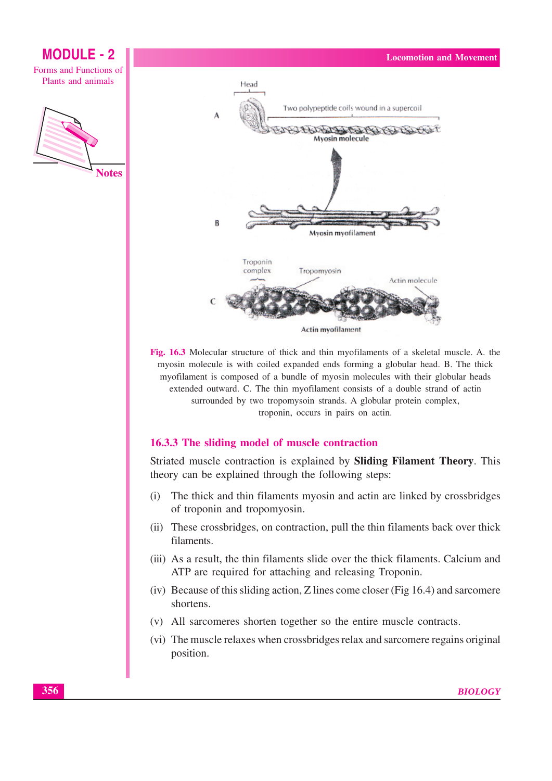

Fig. 16.3 Molecular structure of thick and thin myofilaments of a skeletal muscle. A. the myosin molecule is with coiled expanded ends forming a globular head. B. The thick myofilament is composed of a bundle of myosin molecules with their globular heads extended outward. C. The thin myofilament consists of a double strand of actin surrounded by two tropomysoin strands. A globular protein complex, troponin, occurs in pairs on actin.

### 16.3.3 The sliding model of muscle contraction

Striated muscle contraction is explained by Sliding Filament Theory. This theory can be explained through the following steps:

- The thick and thin filaments myosin and actin are linked by crossbridges  $(i)$ of troponin and tropomyosin.
- (ii) These crossbridges, on contraction, pull the thin filaments back over thick filaments.
- (iii) As a result, the thin filaments slide over the thick filaments. Calcium and ATP are required for attaching and releasing Troponin.
- (iv) Because of this sliding action, Z lines come closer (Fig 16.4) and sarcomere shortens.
- (v) All sarcomeres shorten together so the entire muscle contracts.
- (vi) The muscle relaxes when crossbridges relax and sarcomere regains original position.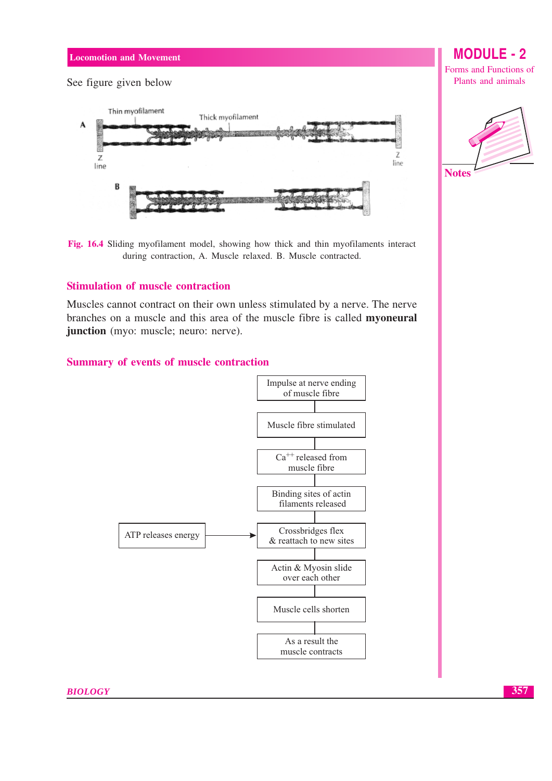See figure given below



Fig. 16.4 Sliding myofilament model, showing how thick and thin myofilaments interact during contraction, A. Muscle relaxed. B. Muscle contracted.

## **Stimulation of muscle contraction**

Muscles cannot contract on their own unless stimulated by a nerve. The nerve branches on a muscle and this area of the muscle fibre is called myoneural junction (myo: muscle; neuro: nerve).

### Summary of events of muscle contraction



# **MODULE - 2**

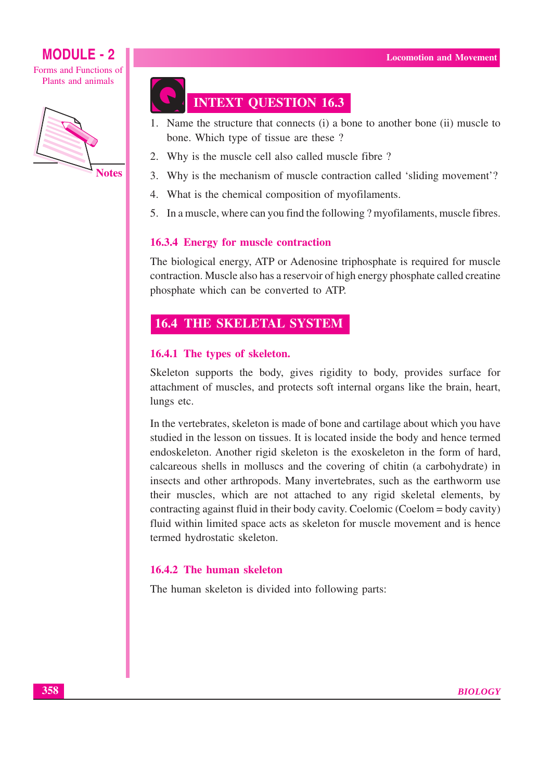Forms and Functions of Plants and animals



# **INTEXT QUESTION 16.3**

- 1. Name the structure that connects (i) a bone to another bone (ii) muscle to bone. Which type of tissue are these?
- 2. Why is the muscle cell also called muscle fibre?
- 3. Why is the mechanism of muscle contraction called 'sliding movement'?
- 4. What is the chemical composition of myofilaments.
- 5. In a muscle, where can you find the following ? myofilaments, muscle fibres.

## **16.3.4 Energy for muscle contraction**

The biological energy, ATP or Adenosine triphosphate is required for muscle contraction. Muscle also has a reservoir of high energy phosphate called creatine phosphate which can be converted to ATP.

## **16.4 THE SKELETAL SYSTEM**

## 16.4.1 The types of skeleton.

Skeleton supports the body, gives rigidity to body, provides surface for attachment of muscles, and protects soft internal organs like the brain, heart, lungs etc.

In the vertebrates, skeleton is made of bone and cartilage about which you have studied in the lesson on tissues. It is located inside the body and hence termed endoskeleton. Another rigid skeleton is the exoskeleton in the form of hard, calcareous shells in molluscs and the covering of chitin (a carbohydrate) in insects and other arthropods. Many invertebrates, such as the earthworm use their muscles, which are not attached to any rigid skeletal elements, by contracting against fluid in their body cavity. Coelomic (Coelom = body cavity) fluid within limited space acts as skeleton for muscle movement and is hence termed hydrostatic skeleton.

## 16.4.2 The human skeleton

The human skeleton is divided into following parts: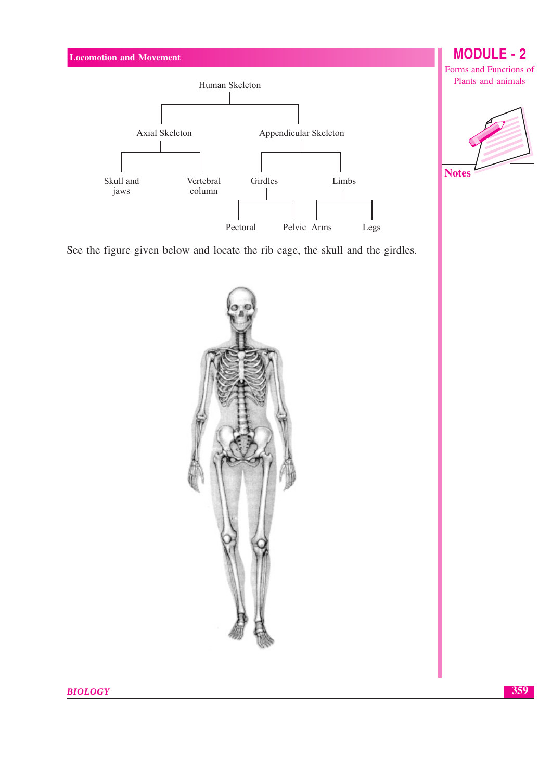

See the figure given below and locate the rib cage, the skull and the girdles.

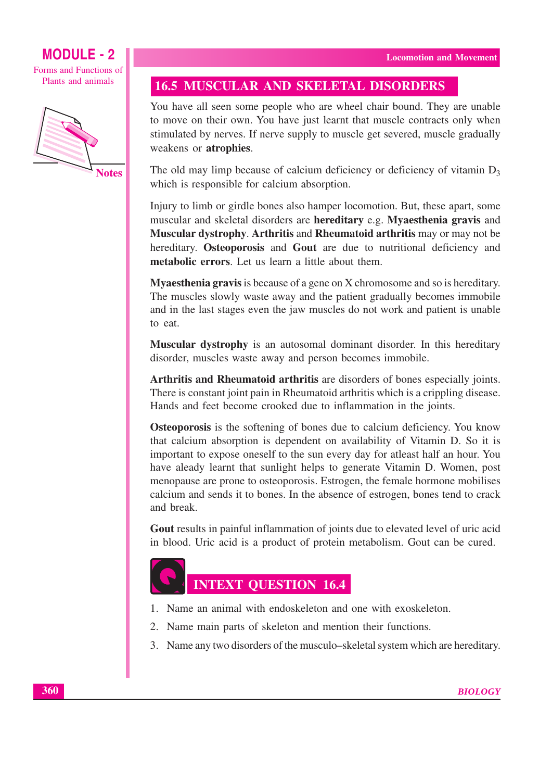Forms and Functions of Plants and animals



**Notes** 

## **16.5 MUSCULAR AND SKELETAL DISORDERS**

You have all seen some people who are wheel chair bound. They are unable to move on their own. You have just learnt that muscle contracts only when stimulated by nerves. If nerve supply to muscle get severed, muscle gradually weakens or atrophies.

The old may limp because of calcium deficiency or deficiency of vitamin  $D_3$ which is responsible for calcium absorption.

Injury to limb or girdle bones also hamper locomotion. But, these apart, some muscular and skeletal disorders are hereditary e.g. Myaesthenia gravis and Muscular dystrophy. Arthritis and Rheumatoid arthritis may or may not be hereditary. Osteoporosis and Gout are due to nutritional deficiency and metabolic errors. Let us learn a little about them.

**Myaesthenia gravis** is because of a gene on X chromosome and so is hereditary. The muscles slowly waste away and the patient gradually becomes immobile and in the last stages even the jaw muscles do not work and patient is unable to eat.

**Muscular dystrophy** is an autosomal dominant disorder. In this hereditary disorder, muscles waste away and person becomes immobile.

Arthritis and Rheumatoid arthritis are disorders of bones especially joints. There is constant joint pain in Rheumatoid arthritis which is a crippling disease. Hands and feet become crooked due to inflammation in the joints.

Osteoporosis is the softening of bones due to calcium deficiency. You know that calcium absorption is dependent on availability of Vitamin D. So it is important to expose oneself to the sun every day for at least half an hour. You have aleady learnt that sunlight helps to generate Vitamin D. Women, post menopause are prone to osteoporosis. Estrogen, the female hormone mobilises calcium and sends it to bones. In the absence of estrogen, bones tend to crack and break.

Gout results in painful inflammation of joints due to elevated level of uric acid in blood. Uric acid is a product of protein metabolism. Gout can be cured.



**INTEXT QUESTION 16.4** 

- 1. Name an animal with endoskeleton and one with exoskeleton.
- 2. Name main parts of skeleton and mention their functions.
- 3. Name any two disorders of the musculo-skeletal system which are hereditary.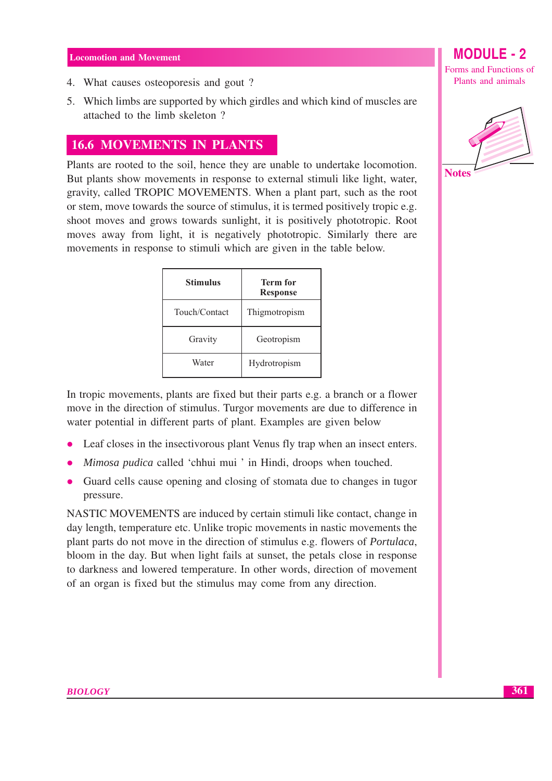- 4. What causes osteoporesis and gout?
- 5. Which limbs are supported by which girdles and which kind of muscles are attached to the limb skeleton?

## **16.6 MOVEMENTS IN PLANTS**

Plants are rooted to the soil, hence they are unable to undertake locomotion. But plants show movements in response to external stimuli like light, water, gravity, called TROPIC MOVEMENTS. When a plant part, such as the root or stem, move towards the source of stimulus, it is termed positively tropic e.g. shoot moves and grows towards sunlight, it is positively phototropic. Root moves away from light, it is negatively phototropic. Similarly there are movements in response to stimuli which are given in the table below.

| <b>Stimulus</b> | <b>Term for</b><br><b>Response</b> |  |
|-----------------|------------------------------------|--|
| Touch/Contact   | Thigmotropism                      |  |
| Gravity         | Geotropism                         |  |
| Water           | Hydrotropism                       |  |

In tropic movements, plants are fixed but their parts e.g. a branch or a flower move in the direction of stimulus. Turgor movements are due to difference in water potential in different parts of plant. Examples are given below

- Leaf closes in the insectivorous plant Venus fly trap when an insect enters.
- Mimosa pudica called 'chhui mui ' in Hindi, droops when touched.
- Guard cells cause opening and closing of stomata due to changes in tugor pressure.

NASTIC MOVEMENTS are induced by certain stimuli like contact, change in day length, temperature etc. Unlike tropic movements in nastic movements the plant parts do not move in the direction of stimulus e.g. flowers of *Portulaca*, bloom in the day. But when light fails at sunset, the petals close in response to darkness and lowered temperature. In other words, direction of movement of an organ is fixed but the stimulus may come from any direction.

**MODULE - 2** 

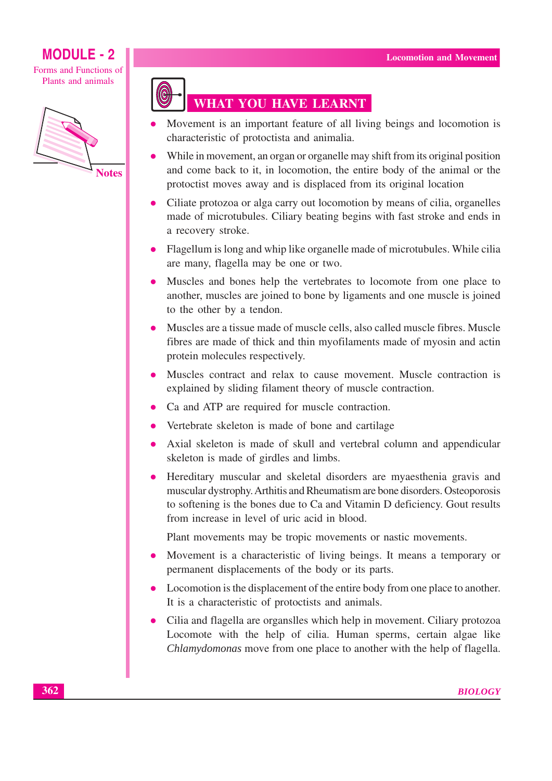Forms and Functions of Plants and animals





# **WHAT YOU HAVE LEARNT**

- Movement is an important feature of all living beings and locomotion is characteristic of protoctista and animalia.
- While in movement, an organ or organelle may shift from its original position and come back to it, in locomotion, the entire body of the animal or the protoctist moves away and is displaced from its original location
- Ciliate protozoa or alga carry out locomotion by means of cilia, organelles made of microtubules. Ciliary beating begins with fast stroke and ends in a recovery stroke.
- Flagellum is long and whip like organelle made of microtubules. While cilia are many, flagella may be one or two.
- Muscles and bones help the vertebrates to locomote from one place to another, muscles are joined to bone by ligaments and one muscle is joined to the other by a tendon.
- Muscles are a tissue made of muscle cells, also called muscle fibres. Muscle  $\bullet$ fibres are made of thick and thin myofilaments made of myosin and actin protein molecules respectively.
- Muscles contract and relax to cause movement. Muscle contraction is explained by sliding filament theory of muscle contraction.
- Ca and ATP are required for muscle contraction.
- Vertebrate skeleton is made of bone and cartilage
- Axial skeleton is made of skull and vertebral column and appendicular skeleton is made of girdles and limbs.
- Hereditary muscular and skeletal disorders are myaesthenia gravis and  $\bullet$ muscular dystrophy. Arthitis and Rheumatism are bone disorders. Osteoporosis to softening is the bones due to Ca and Vitamin D deficiency. Gout results from increase in level of uric acid in blood.

Plant movements may be tropic movements or nastic movements.

- Movement is a characteristic of living beings. It means a temporary or  $\bullet$ permanent displacements of the body or its parts.
- Locomotion is the displacement of the entire body from one place to another. It is a characteristic of protoctists and animals.
- Cilia and flagella are organslles which help in movement. Ciliary protozoa Locomote with the help of cilia. Human sperms, certain algae like Chlamydomonas move from one place to another with the help of flagella.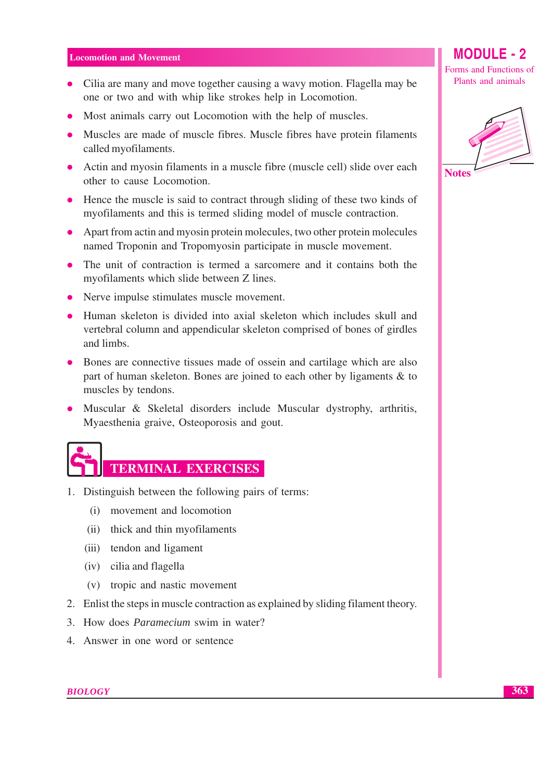- Cilia are many and move together causing a wavy motion. Flagella may be one or two and with whip like strokes help in Locomotion.
- Most animals carry out Locomotion with the help of muscles.
- Muscles are made of muscle fibres. Muscle fibres have protein filaments called myofilaments.
- Actin and myosin filaments in a muscle fibre (muscle cell) slide over each other to cause Locomotion.
- Hence the muscle is said to contract through sliding of these two kinds of myofilaments and this is termed sliding model of muscle contraction.
- Apart from actin and myosin protein molecules, two other protein molecules named Troponin and Tropomyosin participate in muscle movement.
- The unit of contraction is termed a sarcomere and it contains both the myofilaments which slide between Z lines.
- Nerve impulse stimulates muscle movement.
- Human skeleton is divided into axial skeleton which includes skull and vertebral column and appendicular skeleton comprised of bones of girdles and limbs.
- Bones are connective tissues made of ossein and cartilage which are also part of human skeleton. Bones are joined to each other by ligaments & to muscles by tendons.
- Muscular & Skeletal disorders include Muscular dystrophy, arthritis, Myaesthenia graive, Osteoporosis and gout.



- 1. Distinguish between the following pairs of terms:
	- (i) movement and locomotion
	- (ii) thick and thin myofilaments
	- (iii) tendon and ligament
	- (iv) cilia and flagella
	- (v) tropic and nastic movement
- 2. Enlist the steps in muscle contraction as explained by sliding filament theory.
- 3. How does *Paramecium* swim in water?
- 4. Answer in one word or sentence

**MODULE - 2** 

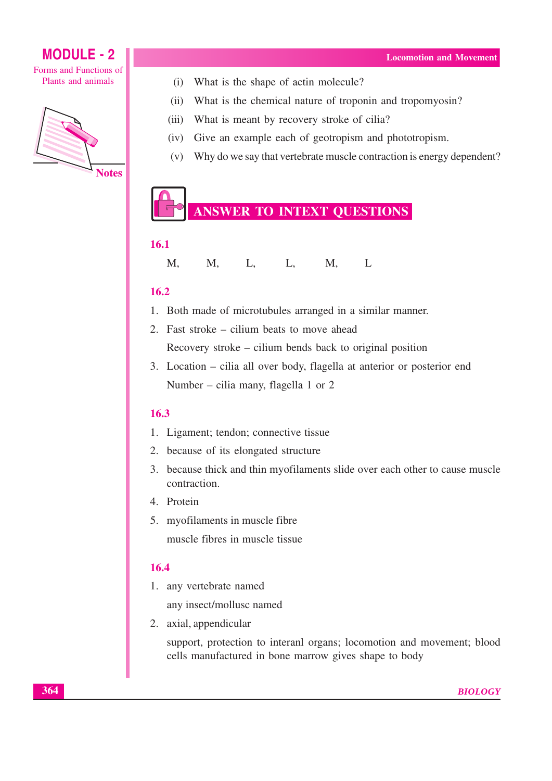





- What is the shape of actin molecule?  $(i)$
- $(ii)$ What is the chemical nature of troponin and tropomyosin?
- What is meant by recovery stroke of cilia?  $(iii)$
- Give an example each of geotropism and phototropism.  $(iv)$
- (v) Why do we say that vertebrate muscle contraction is energy dependent?

# **ANSWER TO INTEXT QUESTIONS**

## 16.1

| M, | M, | $\mathbf{L},$ | L, | M, | $\mathbf{L}$ |
|----|----|---------------|----|----|--------------|
|    |    |               |    |    |              |

## $16.2$

- 1. Both made of microtubules arranged in a similar manner.
- 2. Fast stroke cilium beats to move ahead Recovery stroke – cilium bends back to original position
- 3. Location cilia all over body, flagella at anterior or posterior end Number – cilia many, flagella 1 or 2

## 16.3

- 1. Ligament; tendon; connective tissue
- 2. because of its elongated structure
- 3. because thick and thin myofilaments slide over each other to cause muscle contraction.
- 4. Protein
- 5. myofilaments in muscle fibre muscle fibres in muscle tissue

## 16.4

1. any vertebrate named

any insect/mollusc named

2. axial, appendicular

support, protection to interanl organs; locomotion and movement; blood cells manufactured in bone marrow gives shape to body